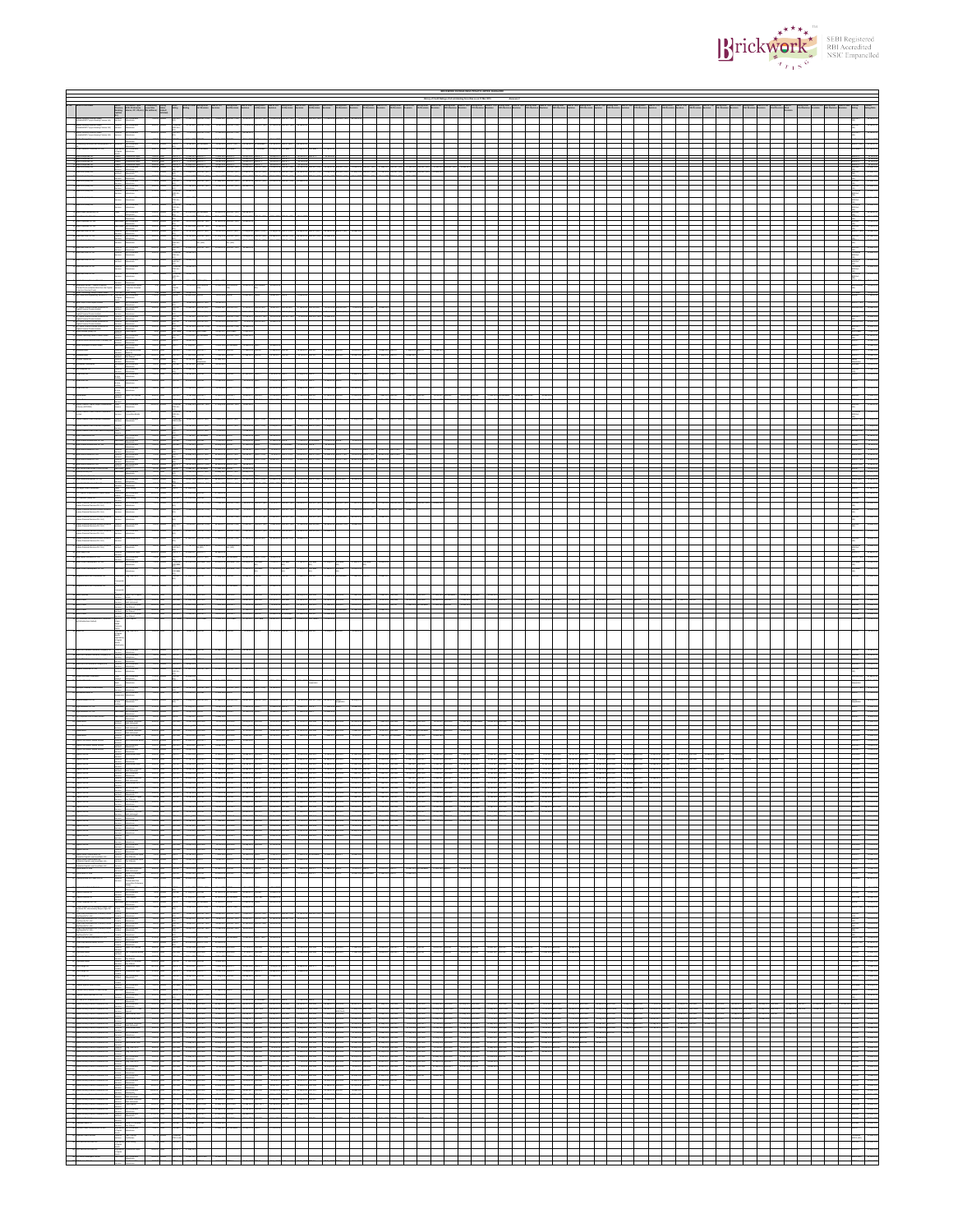

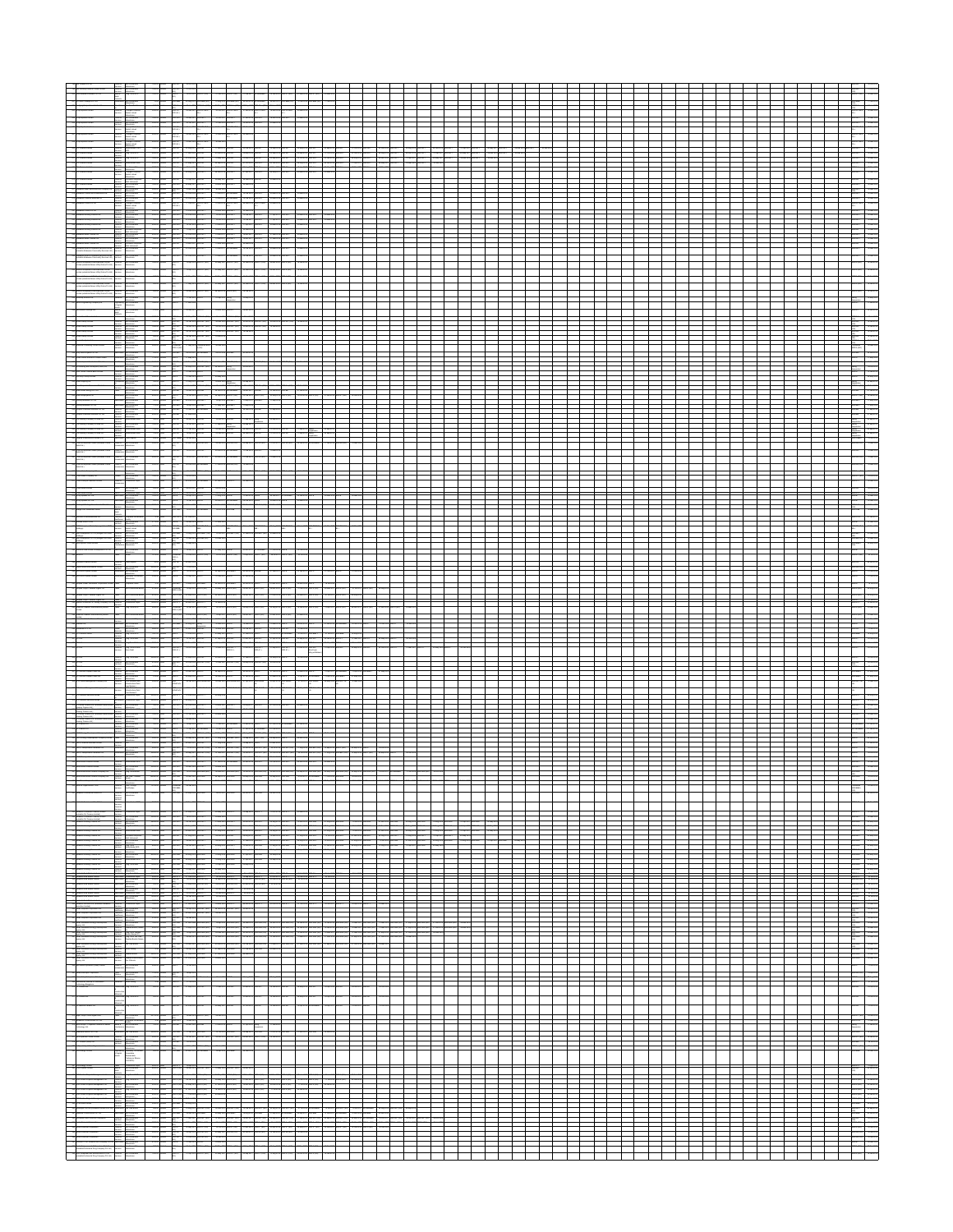|   |                        | 드드                                                                                                                                               | <u>th</u>           |               |               |   |  |  |  |  |  |  |  |  |  |  |  |  |  |  |                                                                                                                                                                                                    |
|---|------------------------|--------------------------------------------------------------------------------------------------------------------------------------------------|---------------------|---------------|---------------|---|--|--|--|--|--|--|--|--|--|--|--|--|--|--|----------------------------------------------------------------------------------------------------------------------------------------------------------------------------------------------------|
|   |                        |                                                                                                                                                  |                     |               |               |   |  |  |  |  |  |  |  |  |  |  |  |  |  |  |                                                                                                                                                                                                    |
|   | Ξŧ                     |                                                                                                                                                  | $ \frac{1}{2}$      |               |               |   |  |  |  |  |  |  |  |  |  |  |  |  |  |  |                                                                                                                                                                                                    |
|   | li l                   |                                                                                                                                                  |                     |               |               |   |  |  |  |  |  |  |  |  |  |  |  |  |  |  |                                                                                                                                                                                                    |
|   | Ш                      |                                                                                                                                                  |                     |               |               |   |  |  |  |  |  |  |  |  |  |  |  |  |  |  |                                                                                                                                                                                                    |
|   |                        |                                                                                                                                                  |                     |               |               |   |  |  |  |  |  |  |  |  |  |  |  |  |  |  |                                                                                                                                                                                                    |
|   |                        |                                                                                                                                                  |                     |               |               |   |  |  |  |  |  |  |  |  |  |  |  |  |  |  |                                                                                                                                                                                                    |
|   | mn                     |                                                                                                                                                  | $rac{1}{2}$         |               |               |   |  |  |  |  |  |  |  |  |  |  |  |  |  |  |                                                                                                                                                                                                    |
|   |                        |                                                                                                                                                  |                     |               |               |   |  |  |  |  |  |  |  |  |  |  |  |  |  |  |                                                                                                                                                                                                    |
|   | ۳ŧ                     |                                                                                                                                                  | $\frac{1}{2}$       |               |               |   |  |  |  |  |  |  |  |  |  |  |  |  |  |  |                                                                                                                                                                                                    |
|   |                        |                                                                                                                                                  |                     |               |               |   |  |  |  |  |  |  |  |  |  |  |  |  |  |  |                                                                                                                                                                                                    |
|   |                        |                                                                                                                                                  |                     |               |               |   |  |  |  |  |  |  |  |  |  |  |  |  |  |  |                                                                                                                                                                                                    |
|   | E                      |                                                                                                                                                  |                     |               |               |   |  |  |  |  |  |  |  |  |  |  |  |  |  |  |                                                                                                                                                                                                    |
|   |                        |                                                                                                                                                  | - 1                 |               |               |   |  |  |  |  |  |  |  |  |  |  |  |  |  |  |                                                                                                                                                                                                    |
|   | $=$ $=$                |                                                                                                                                                  | ŦF                  |               |               |   |  |  |  |  |  |  |  |  |  |  |  |  |  |  |                                                                                                                                                                                                    |
|   |                        |                                                                                                                                                  | Ŧ                   |               |               |   |  |  |  |  |  |  |  |  |  |  |  |  |  |  |                                                                                                                                                                                                    |
|   |                        |                                                                                                                                                  |                     |               |               |   |  |  |  |  |  |  |  |  |  |  |  |  |  |  |                                                                                                                                                                                                    |
|   |                        |                                                                                                                                                  |                     | == = =        |               |   |  |  |  |  |  |  |  |  |  |  |  |  |  |  |                                                                                                                                                                                                    |
|   | ≕                      | $\overline{\phantom{a}}$                                                                                                                         |                     |               |               |   |  |  |  |  |  |  |  |  |  |  |  |  |  |  |                                                                                                                                                                                                    |
|   |                        |                                                                                                                                                  |                     | 事相事           |               |   |  |  |  |  |  |  |  |  |  |  |  |  |  |  |                                                                                                                                                                                                    |
|   |                        |                                                                                                                                                  |                     |               |               |   |  |  |  |  |  |  |  |  |  |  |  |  |  |  |                                                                                                                                                                                                    |
|   | $\frac{1}{2}$          |                                                                                                                                                  | an <b>Stational</b> |               |               |   |  |  |  |  |  |  |  |  |  |  |  |  |  |  |                                                                                                                                                                                                    |
|   |                        |                                                                                                                                                  |                     |               |               |   |  |  |  |  |  |  |  |  |  |  |  |  |  |  |                                                                                                                                                                                                    |
|   |                        |                                                                                                                                                  |                     |               |               |   |  |  |  |  |  |  |  |  |  |  |  |  |  |  |                                                                                                                                                                                                    |
|   |                        |                                                                                                                                                  |                     |               |               |   |  |  |  |  |  |  |  |  |  |  |  |  |  |  |                                                                                                                                                                                                    |
|   |                        |                                                                                                                                                  | = 6                 |               |               |   |  |  |  |  |  |  |  |  |  |  |  |  |  |  |                                                                                                                                                                                                    |
|   |                        |                                                                                                                                                  |                     | $\frac{1}{2}$ |               |   |  |  |  |  |  |  |  |  |  |  |  |  |  |  |                                                                                                                                                                                                    |
|   |                        |                                                                                                                                                  |                     |               |               |   |  |  |  |  |  |  |  |  |  |  |  |  |  |  |                                                                                                                                                                                                    |
|   |                        |                                                                                                                                                  |                     |               |               |   |  |  |  |  |  |  |  |  |  |  |  |  |  |  |                                                                                                                                                                                                    |
|   |                        |                                                                                                                                                  |                     |               |               |   |  |  |  |  |  |  |  |  |  |  |  |  |  |  |                                                                                                                                                                                                    |
|   |                        | -                                                                                                                                                |                     |               |               |   |  |  |  |  |  |  |  |  |  |  |  |  |  |  |                                                                                                                                                                                                    |
|   |                        |                                                                                                                                                  | $\frac{1}{2}$       |               |               |   |  |  |  |  |  |  |  |  |  |  |  |  |  |  |                                                                                                                                                                                                    |
|   |                        |                                                                                                                                                  |                     |               |               |   |  |  |  |  |  |  |  |  |  |  |  |  |  |  |                                                                                                                                                                                                    |
|   |                        |                                                                                                                                                  |                     |               |               |   |  |  |  |  |  |  |  |  |  |  |  |  |  |  |                                                                                                                                                                                                    |
|   |                        |                                                                                                                                                  | 55 S                |               |               |   |  |  |  |  |  |  |  |  |  |  |  |  |  |  |                                                                                                                                                                                                    |
|   |                        |                                                                                                                                                  |                     |               |               |   |  |  |  |  |  |  |  |  |  |  |  |  |  |  |                                                                                                                                                                                                    |
|   |                        |                                                                                                                                                  | $\equiv$            |               |               |   |  |  |  |  |  |  |  |  |  |  |  |  |  |  |                                                                                                                                                                                                    |
|   |                        |                                                                                                                                                  |                     |               |               |   |  |  |  |  |  |  |  |  |  |  |  |  |  |  |                                                                                                                                                                                                    |
|   |                        |                                                                                                                                                  | - 150               |               |               |   |  |  |  |  |  |  |  |  |  |  |  |  |  |  |                                                                                                                                                                                                    |
|   |                        |                                                                                                                                                  |                     |               |               |   |  |  |  |  |  |  |  |  |  |  |  |  |  |  |                                                                                                                                                                                                    |
|   |                        |                                                                                                                                                  |                     |               |               |   |  |  |  |  |  |  |  |  |  |  |  |  |  |  |                                                                                                                                                                                                    |
|   |                        |                                                                                                                                                  | FFI                 |               |               |   |  |  |  |  |  |  |  |  |  |  |  |  |  |  |                                                                                                                                                                                                    |
|   |                        |                                                                                                                                                  |                     |               |               |   |  |  |  |  |  |  |  |  |  |  |  |  |  |  |                                                                                                                                                                                                    |
|   |                        |                                                                                                                                                  | extra della         |               |               |   |  |  |  |  |  |  |  |  |  |  |  |  |  |  |                                                                                                                                                                                                    |
|   |                        |                                                                                                                                                  |                     |               |               |   |  |  |  |  |  |  |  |  |  |  |  |  |  |  |                                                                                                                                                                                                    |
|   |                        |                                                                                                                                                  |                     |               |               |   |  |  |  |  |  |  |  |  |  |  |  |  |  |  |                                                                                                                                                                                                    |
|   |                        |                                                                                                                                                  |                     |               |               |   |  |  |  |  |  |  |  |  |  |  |  |  |  |  |                                                                                                                                                                                                    |
|   |                        |                                                                                                                                                  | mar.                |               |               |   |  |  |  |  |  |  |  |  |  |  |  |  |  |  |                                                                                                                                                                                                    |
|   |                        |                                                                                                                                                  |                     |               |               |   |  |  |  |  |  |  |  |  |  |  |  |  |  |  |                                                                                                                                                                                                    |
|   |                        |                                                                                                                                                  |                     |               |               |   |  |  |  |  |  |  |  |  |  |  |  |  |  |  |                                                                                                                                                                                                    |
|   | l                      |                                                                                                                                                  | $\pm \Xi$           |               |               |   |  |  |  |  |  |  |  |  |  |  |  |  |  |  |                                                                                                                                                                                                    |
|   |                        |                                                                                                                                                  |                     |               |               |   |  |  |  |  |  |  |  |  |  |  |  |  |  |  |                                                                                                                                                                                                    |
|   |                        |                                                                                                                                                  |                     |               |               |   |  |  |  |  |  |  |  |  |  |  |  |  |  |  |                                                                                                                                                                                                    |
|   |                        |                                                                                                                                                  |                     |               |               |   |  |  |  |  |  |  |  |  |  |  |  |  |  |  |                                                                                                                                                                                                    |
|   |                        |                                                                                                                                                  |                     |               |               |   |  |  |  |  |  |  |  |  |  |  |  |  |  |  |                                                                                                                                                                                                    |
|   |                        |                                                                                                                                                  | .<br>.              |               |               |   |  |  |  |  |  |  |  |  |  |  |  |  |  |  |                                                                                                                                                                                                    |
|   |                        |                                                                                                                                                  |                     |               |               |   |  |  |  |  |  |  |  |  |  |  |  |  |  |  |                                                                                                                                                                                                    |
|   |                        |                                                                                                                                                  |                     |               |               |   |  |  |  |  |  |  |  |  |  |  |  |  |  |  |                                                                                                                                                                                                    |
|   |                        |                                                                                                                                                  |                     |               |               |   |  |  |  |  |  |  |  |  |  |  |  |  |  |  |                                                                                                                                                                                                    |
|   | E<br>E                 |                                                                                                                                                  |                     |               |               |   |  |  |  |  |  |  |  |  |  |  |  |  |  |  |                                                                                                                                                                                                    |
|   |                        |                                                                                                                                                  |                     |               |               |   |  |  |  |  |  |  |  |  |  |  |  |  |  |  |                                                                                                                                                                                                    |
|   | ΞE                     |                                                                                                                                                  |                     |               |               |   |  |  |  |  |  |  |  |  |  |  |  |  |  |  | $\equiv$                                                                                                                                                                                           |
|   | <b>Science</b>         |                                                                                                                                                  |                     |               |               |   |  |  |  |  |  |  |  |  |  |  |  |  |  |  |                                                                                                                                                                                                    |
|   |                        | torial companies<br>Companies companies<br>Companies companies<br>Companies companies<br>Companies companies<br>Companies companies<br>Companies | j.                  |               |               |   |  |  |  |  |  |  |  |  |  |  |  |  |  |  |                                                                                                                                                                                                    |
|   | H                      |                                                                                                                                                  | ┳<br>┮              |               |               |   |  |  |  |  |  |  |  |  |  |  |  |  |  |  |                                                                                                                                                                                                    |
|   |                        |                                                                                                                                                  | ┮                   |               |               |   |  |  |  |  |  |  |  |  |  |  |  |  |  |  |                                                                                                                                                                                                    |
|   |                        | <b>Safety School Sprint</b>                                                                                                                      |                     | HE.           |               |   |  |  |  |  |  |  |  |  |  |  |  |  |  |  |                                                                                                                                                                                                    |
|   |                        |                                                                                                                                                  |                     |               |               |   |  |  |  |  |  |  |  |  |  |  |  |  |  |  |                                                                                                                                                                                                    |
|   |                        | ÷                                                                                                                                                |                     |               |               |   |  |  |  |  |  |  |  |  |  |  |  |  |  |  |                                                                                                                                                                                                    |
|   |                        |                                                                                                                                                  |                     |               |               |   |  |  |  |  |  |  |  |  |  |  |  |  |  |  |                                                                                                                                                                                                    |
|   | ili.                   |                                                                                                                                                  |                     |               |               |   |  |  |  |  |  |  |  |  |  |  |  |  |  |  |                                                                                                                                                                                                    |
| ÷ | ΞF                     |                                                                                                                                                  |                     |               |               |   |  |  |  |  |  |  |  |  |  |  |  |  |  |  |                                                                                                                                                                                                    |
|   | 타                      |                                                                                                                                                  |                     | --            |               |   |  |  |  |  |  |  |  |  |  |  |  |  |  |  |                                                                                                                                                                                                    |
| ٦ |                        |                                                                                                                                                  |                     |               |               |   |  |  |  |  |  |  |  |  |  |  |  |  |  |  | 1991 – 1991 – 1991 – 1991 – 1991 – 1991 – 1991 – 1991 – 1991 – 1991 – 1991 – 1991<br>1991 – 1991 – 1991 – 1991 – 1991 – 1991 – 1991 – 1991 – 1991 – 1991 – 1991 – 1991 – 1991 – 1991 – 1991 – 1991 |
| ┇ |                        |                                                                                                                                                  |                     |               |               |   |  |  |  |  |  |  |  |  |  |  |  |  |  |  |                                                                                                                                                                                                    |
|   | <b>The Corporation</b> | <b>Lennis</b>                                                                                                                                    |                     |               |               |   |  |  |  |  |  |  |  |  |  |  |  |  |  |  |                                                                                                                                                                                                    |
|   |                        |                                                                                                                                                  |                     |               |               |   |  |  |  |  |  |  |  |  |  |  |  |  |  |  | .<br>                                                                                                                                                                                              |
|   |                        |                                                                                                                                                  |                     |               |               |   |  |  |  |  |  |  |  |  |  |  |  |  |  |  |                                                                                                                                                                                                    |
|   |                        | <b>The Second Second</b>                                                                                                                         | IT                  |               |               | j |  |  |  |  |  |  |  |  |  |  |  |  |  |  |                                                                                                                                                                                                    |
|   |                        |                                                                                                                                                  | E                   |               |               |   |  |  |  |  |  |  |  |  |  |  |  |  |  |  |                                                                                                                                                                                                    |
|   | Щ                      | Ē                                                                                                                                                |                     |               |               |   |  |  |  |  |  |  |  |  |  |  |  |  |  |  |                                                                                                                                                                                                    |
|   |                        | ļ                                                                                                                                                |                     |               |               |   |  |  |  |  |  |  |  |  |  |  |  |  |  |  |                                                                                                                                                                                                    |
|   |                        | in a film                                                                                                                                        |                     |               |               |   |  |  |  |  |  |  |  |  |  |  |  |  |  |  | <b>THURSDAY</b>                                                                                                                                                                                    |
|   |                        |                                                                                                                                                  |                     |               |               |   |  |  |  |  |  |  |  |  |  |  |  |  |  |  |                                                                                                                                                                                                    |
|   |                        |                                                                                                                                                  |                     |               |               |   |  |  |  |  |  |  |  |  |  |  |  |  |  |  |                                                                                                                                                                                                    |
|   |                        | <b>TANK MARINE</b><br>Malaysia <b>Marine</b><br>Malaysia an <sup>t</sup> erdent                                                                  |                     |               |               |   |  |  |  |  |  |  |  |  |  |  |  |  |  |  |                                                                                                                                                                                                    |
|   | =                      |                                                                                                                                                  |                     |               |               |   |  |  |  |  |  |  |  |  |  |  |  |  |  |  |                                                                                                                                                                                                    |
|   | ≣                      |                                                                                                                                                  |                     | =======       |               |   |  |  |  |  |  |  |  |  |  |  |  |  |  |  |                                                                                                                                                                                                    |
|   |                        |                                                                                                                                                  |                     |               | $\frac{1}{2}$ |   |  |  |  |  |  |  |  |  |  |  |  |  |  |  |                                                                                                                                                                                                    |
|   |                        |                                                                                                                                                  | $\frac{1}{2}$       |               |               |   |  |  |  |  |  |  |  |  |  |  |  |  |  |  |                                                                                                                                                                                                    |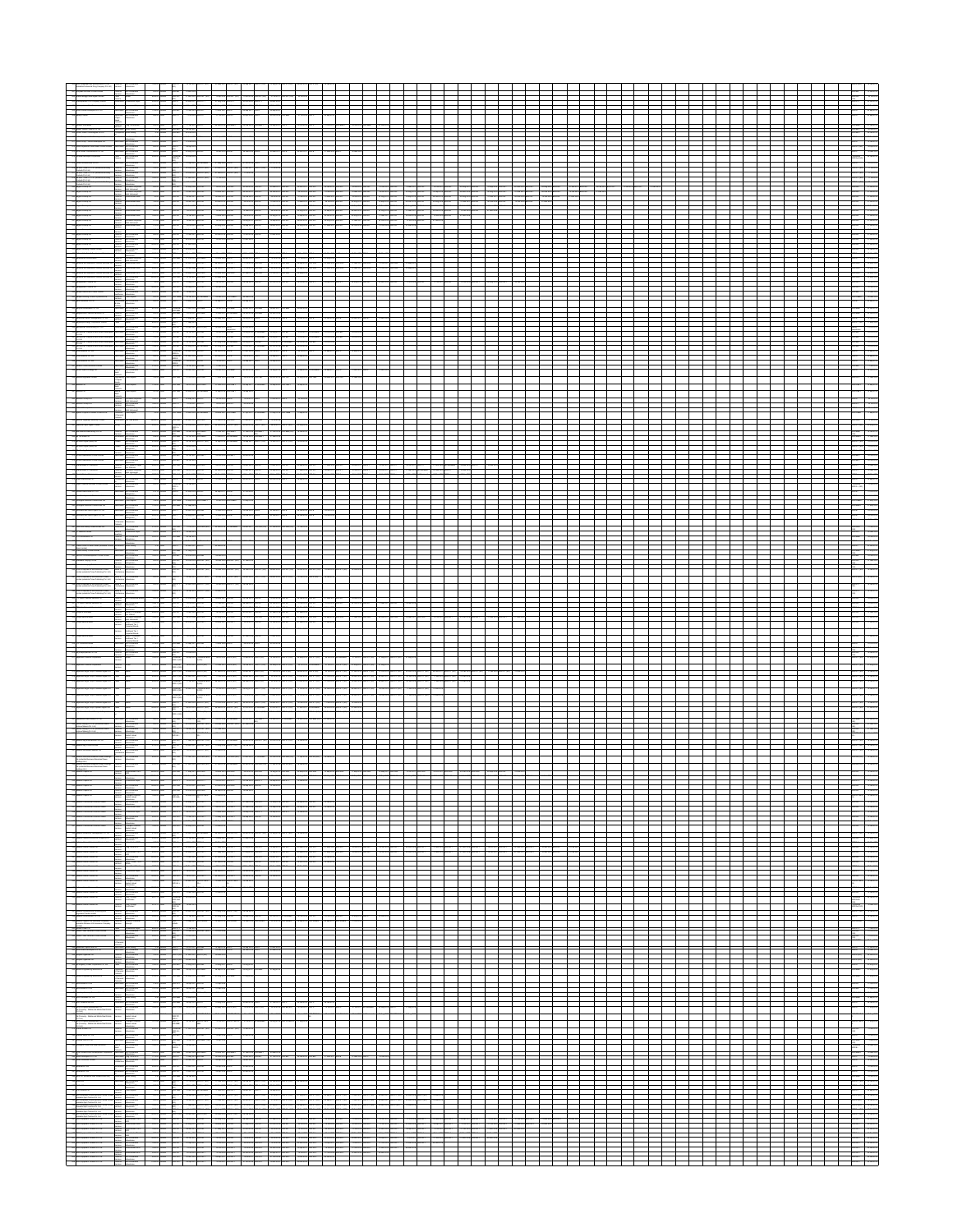|                                                                                                                                                                                                                                 | ī.                  | <b>Colorado</b>                                                                   | $\equiv$      |                         |                       |                  |             |                          |   |      |  |  |  |  |                |  |                |  |  |                |  |                                                                                                                                                                                                                                                                                                           |
|---------------------------------------------------------------------------------------------------------------------------------------------------------------------------------------------------------------------------------|---------------------|-----------------------------------------------------------------------------------|---------------|-------------------------|-----------------------|------------------|-------------|--------------------------|---|------|--|--|--|--|----------------|--|----------------|--|--|----------------|--|-----------------------------------------------------------------------------------------------------------------------------------------------------------------------------------------------------------------------------------------------------------------------------------------------------------|
|                                                                                                                                                                                                                                 |                     |                                                                                   |               |                         |                       |                  |             |                          |   |      |  |  |  |  |                |  |                |  |  |                |  |                                                                                                                                                                                                                                                                                                           |
|                                                                                                                                                                                                                                 |                     |                                                                                   |               |                         |                       |                  |             |                          |   |      |  |  |  |  |                |  |                |  |  |                |  |                                                                                                                                                                                                                                                                                                           |
|                                                                                                                                                                                                                                 |                     |                                                                                   |               |                         |                       |                  |             |                          |   |      |  |  |  |  |                |  |                |  |  |                |  |                                                                                                                                                                                                                                                                                                           |
|                                                                                                                                                                                                                                 |                     |                                                                                   |               |                         |                       |                  |             |                          |   |      |  |  |  |  |                |  |                |  |  |                |  |                                                                                                                                                                                                                                                                                                           |
|                                                                                                                                                                                                                                 |                     |                                                                                   |               |                         |                       |                  |             |                          |   |      |  |  |  |  |                |  |                |  |  |                |  |                                                                                                                                                                                                                                                                                                           |
|                                                                                                                                                                                                                                 | Ш                   |                                                                                   |               |                         |                       |                  |             |                          |   |      |  |  |  |  |                |  |                |  |  |                |  |                                                                                                                                                                                                                                                                                                           |
|                                                                                                                                                                                                                                 |                     |                                                                                   |               |                         |                       |                  |             |                          |   |      |  |  |  |  |                |  |                |  |  |                |  |                                                                                                                                                                                                                                                                                                           |
|                                                                                                                                                                                                                                 |                     |                                                                                   |               |                         |                       |                  |             |                          |   |      |  |  |  |  |                |  |                |  |  |                |  |                                                                                                                                                                                                                                                                                                           |
|                                                                                                                                                                                                                                 |                     |                                                                                   |               |                         |                       |                  |             |                          |   |      |  |  |  |  |                |  |                |  |  |                |  |                                                                                                                                                                                                                                                                                                           |
|                                                                                                                                                                                                                                 |                     |                                                                                   |               |                         |                       |                  |             |                          |   |      |  |  |  |  |                |  |                |  |  |                |  |                                                                                                                                                                                                                                                                                                           |
|                                                                                                                                                                                                                                 |                     |                                                                                   |               |                         |                       |                  |             |                          |   |      |  |  |  |  |                |  |                |  |  |                |  |                                                                                                                                                                                                                                                                                                           |
|                                                                                                                                                                                                                                 |                     |                                                                                   |               |                         |                       |                  |             |                          |   |      |  |  |  |  |                |  |                |  |  |                |  |                                                                                                                                                                                                                                                                                                           |
|                                                                                                                                                                                                                                 |                     |                                                                                   |               |                         |                       |                  |             |                          |   |      |  |  |  |  |                |  |                |  |  |                |  |                                                                                                                                                                                                                                                                                                           |
|                                                                                                                                                                                                                                 |                     |                                                                                   |               |                         |                       |                  |             |                          |   |      |  |  |  |  |                |  |                |  |  |                |  |                                                                                                                                                                                                                                                                                                           |
|                                                                                                                                                                                                                                 |                     |                                                                                   |               |                         |                       |                  |             |                          |   |      |  |  |  |  |                |  |                |  |  |                |  |                                                                                                                                                                                                                                                                                                           |
|                                                                                                                                                                                                                                 |                     |                                                                                   |               |                         |                       |                  |             |                          |   |      |  |  |  |  |                |  |                |  |  |                |  |                                                                                                                                                                                                                                                                                                           |
|                                                                                                                                                                                                                                 |                     |                                                                                   |               |                         |                       |                  |             |                          |   |      |  |  |  |  |                |  |                |  |  |                |  |                                                                                                                                                                                                                                                                                                           |
|                                                                                                                                                                                                                                 |                     |                                                                                   |               |                         |                       |                  |             |                          |   |      |  |  |  |  |                |  |                |  |  |                |  |                                                                                                                                                                                                                                                                                                           |
|                                                                                                                                                                                                                                 |                     |                                                                                   |               |                         |                       |                  |             |                          |   |      |  |  |  |  |                |  |                |  |  |                |  |                                                                                                                                                                                                                                                                                                           |
|                                                                                                                                                                                                                                 |                     |                                                                                   |               |                         |                       |                  |             |                          |   |      |  |  |  |  |                |  |                |  |  |                |  |                                                                                                                                                                                                                                                                                                           |
|                                                                                                                                                                                                                                 |                     |                                                                                   |               |                         |                       |                  |             |                          |   |      |  |  |  |  |                |  |                |  |  |                |  |                                                                                                                                                                                                                                                                                                           |
|                                                                                                                                                                                                                                 |                     |                                                                                   |               |                         |                       |                  |             |                          |   |      |  |  |  |  |                |  |                |  |  |                |  |                                                                                                                                                                                                                                                                                                           |
|                                                                                                                                                                                                                                 |                     |                                                                                   |               |                         |                       |                  |             |                          |   |      |  |  |  |  |                |  |                |  |  |                |  |                                                                                                                                                                                                                                                                                                           |
|                                                                                                                                                                                                                                 |                     |                                                                                   |               |                         |                       |                  |             |                          |   |      |  |  |  |  |                |  |                |  |  |                |  |                                                                                                                                                                                                                                                                                                           |
|                                                                                                                                                                                                                                 |                     |                                                                                   |               |                         |                       |                  |             |                          |   |      |  |  |  |  |                |  |                |  |  |                |  |                                                                                                                                                                                                                                                                                                           |
|                                                                                                                                                                                                                                 |                     |                                                                                   |               |                         |                       |                  |             |                          |   |      |  |  |  |  |                |  |                |  |  |                |  |                                                                                                                                                                                                                                                                                                           |
|                                                                                                                                                                                                                                 |                     |                                                                                   |               |                         |                       |                  |             |                          |   |      |  |  |  |  |                |  |                |  |  |                |  |                                                                                                                                                                                                                                                                                                           |
|                                                                                                                                                                                                                                 |                     |                                                                                   |               |                         |                       |                  |             |                          |   |      |  |  |  |  |                |  |                |  |  |                |  |                                                                                                                                                                                                                                                                                                           |
|                                                                                                                                                                                                                                 |                     |                                                                                   |               |                         |                       |                  |             |                          |   |      |  |  |  |  |                |  |                |  |  |                |  |                                                                                                                                                                                                                                                                                                           |
|                                                                                                                                                                                                                                 |                     |                                                                                   |               |                         |                       |                  |             |                          |   |      |  |  |  |  |                |  |                |  |  |                |  |                                                                                                                                                                                                                                                                                                           |
|                                                                                                                                                                                                                                 |                     |                                                                                   |               |                         |                       |                  |             |                          |   |      |  |  |  |  |                |  |                |  |  |                |  |                                                                                                                                                                                                                                                                                                           |
|                                                                                                                                                                                                                                 |                     |                                                                                   |               |                         |                       |                  |             |                          |   |      |  |  |  |  |                |  |                |  |  |                |  |                                                                                                                                                                                                                                                                                                           |
|                                                                                                                                                                                                                                 |                     |                                                                                   |               |                         |                       |                  |             |                          |   |      |  |  |  |  |                |  |                |  |  |                |  |                                                                                                                                                                                                                                                                                                           |
|                                                                                                                                                                                                                                 |                     |                                                                                   |               |                         |                       |                  |             |                          |   |      |  |  |  |  |                |  |                |  |  |                |  |                                                                                                                                                                                                                                                                                                           |
|                                                                                                                                                                                                                                 |                     |                                                                                   |               |                         |                       |                  |             |                          |   |      |  |  |  |  |                |  |                |  |  |                |  |                                                                                                                                                                                                                                                                                                           |
|                                                                                                                                                                                                                                 |                     |                                                                                   |               |                         |                       |                  |             |                          |   |      |  |  |  |  |                |  |                |  |  |                |  |                                                                                                                                                                                                                                                                                                           |
|                                                                                                                                                                                                                                 |                     | an anns                                                                           |               |                         |                       |                  |             |                          |   |      |  |  |  |  |                |  |                |  |  |                |  |                                                                                                                                                                                                                                                                                                           |
|                                                                                                                                                                                                                                 | <b>TATAR MARINE</b> |                                                                                   |               |                         |                       |                  |             |                          |   |      |  |  |  |  |                |  |                |  |  |                |  |                                                                                                                                                                                                                                                                                                           |
|                                                                                                                                                                                                                                 |                     |                                                                                   |               |                         |                       |                  |             |                          |   |      |  |  |  |  |                |  |                |  |  |                |  |                                                                                                                                                                                                                                                                                                           |
|                                                                                                                                                                                                                                 |                     |                                                                                   |               |                         |                       |                  |             |                          |   |      |  |  |  |  |                |  |                |  |  |                |  |                                                                                                                                                                                                                                                                                                           |
|                                                                                                                                                                                                                                 |                     |                                                                                   |               |                         |                       |                  |             |                          |   |      |  |  |  |  |                |  |                |  |  |                |  |                                                                                                                                                                                                                                                                                                           |
|                                                                                                                                                                                                                                 | Ξ                   |                                                                                   |               |                         |                       |                  |             |                          |   |      |  |  |  |  |                |  |                |  |  |                |  |                                                                                                                                                                                                                                                                                                           |
|                                                                                                                                                                                                                                 | $=$ :               |                                                                                   |               |                         |                       |                  |             |                          |   |      |  |  |  |  |                |  |                |  |  |                |  |                                                                                                                                                                                                                                                                                                           |
|                                                                                                                                                                                                                                 |                     |                                                                                   |               |                         |                       |                  |             |                          |   |      |  |  |  |  |                |  |                |  |  |                |  |                                                                                                                                                                                                                                                                                                           |
|                                                                                                                                                                                                                                 |                     |                                                                                   |               |                         |                       |                  |             |                          |   |      |  |  |  |  |                |  |                |  |  |                |  |                                                                                                                                                                                                                                                                                                           |
|                                                                                                                                                                                                                                 |                     |                                                                                   |               |                         |                       |                  |             |                          |   |      |  |  |  |  |                |  |                |  |  |                |  |                                                                                                                                                                                                                                                                                                           |
|                                                                                                                                                                                                                                 |                     |                                                                                   |               |                         |                       |                  |             |                          |   |      |  |  |  |  |                |  |                |  |  |                |  |                                                                                                                                                                                                                                                                                                           |
|                                                                                                                                                                                                                                 |                     |                                                                                   |               |                         |                       |                  |             |                          |   |      |  |  |  |  |                |  |                |  |  |                |  |                                                                                                                                                                                                                                                                                                           |
|                                                                                                                                                                                                                                 |                     |                                                                                   |               |                         |                       |                  |             |                          |   |      |  |  |  |  |                |  |                |  |  |                |  |                                                                                                                                                                                                                                                                                                           |
|                                                                                                                                                                                                                                 |                     |                                                                                   |               |                         |                       |                  |             |                          |   |      |  |  |  |  |                |  |                |  |  |                |  |                                                                                                                                                                                                                                                                                                           |
|                                                                                                                                                                                                                                 |                     |                                                                                   |               |                         |                       |                  |             |                          |   |      |  |  |  |  |                |  |                |  |  |                |  |                                                                                                                                                                                                                                                                                                           |
|                                                                                                                                                                                                                                 |                     |                                                                                   |               |                         |                       |                  |             |                          |   |      |  |  |  |  |                |  |                |  |  |                |  |                                                                                                                                                                                                                                                                                                           |
|                                                                                                                                                                                                                                 |                     |                                                                                   |               |                         |                       |                  |             |                          |   |      |  |  |  |  |                |  |                |  |  |                |  |                                                                                                                                                                                                                                                                                                           |
|                                                                                                                                                                                                                                 |                     |                                                                                   |               |                         |                       |                  |             |                          |   |      |  |  |  |  |                |  |                |  |  |                |  |                                                                                                                                                                                                                                                                                                           |
|                                                                                                                                                                                                                                 |                     |                                                                                   |               |                         |                       |                  |             |                          |   |      |  |  |  |  |                |  |                |  |  |                |  |                                                                                                                                                                                                                                                                                                           |
|                                                                                                                                                                                                                                 |                     |                                                                                   |               |                         |                       |                  |             |                          |   |      |  |  |  |  |                |  |                |  |  |                |  |                                                                                                                                                                                                                                                                                                           |
|                                                                                                                                                                                                                                 |                     |                                                                                   |               |                         |                       |                  |             |                          |   |      |  |  |  |  |                |  |                |  |  |                |  |                                                                                                                                                                                                                                                                                                           |
|                                                                                                                                                                                                                                 |                     |                                                                                   |               | an an                   |                       |                  |             |                          |   |      |  |  |  |  |                |  |                |  |  |                |  |                                                                                                                                                                                                                                                                                                           |
|                                                                                                                                                                                                                                 |                     |                                                                                   |               |                         |                       |                  |             |                          |   |      |  |  |  |  |                |  |                |  |  |                |  |                                                                                                                                                                                                                                                                                                           |
|                                                                                                                                                                                                                                 |                     |                                                                                   |               |                         |                       |                  |             |                          |   |      |  |  |  |  |                |  |                |  |  |                |  |                                                                                                                                                                                                                                                                                                           |
|                                                                                                                                                                                                                                 |                     | E                                                                                 | 韠             |                         |                       |                  |             |                          |   |      |  |  |  |  |                |  |                |  |  |                |  |                                                                                                                                                                                                                                                                                                           |
|                                                                                                                                                                                                                                 |                     |                                                                                   |               |                         |                       |                  |             |                          |   |      |  |  |  |  |                |  |                |  |  |                |  |                                                                                                                                                                                                                                                                                                           |
|                                                                                                                                                                                                                                 |                     | i<br>Tanzania                                                                     |               |                         |                       |                  |             |                          |   |      |  |  |  |  |                |  |                |  |  |                |  |                                                                                                                                                                                                                                                                                                           |
|                                                                                                                                                                                                                                 |                     |                                                                                   |               |                         |                       |                  |             |                          |   |      |  |  |  |  |                |  |                |  |  |                |  |                                                                                                                                                                                                                                                                                                           |
|                                                                                                                                                                                                                                 |                     |                                                                                   |               |                         |                       |                  |             |                          |   |      |  |  |  |  |                |  |                |  |  |                |  |                                                                                                                                                                                                                                                                                                           |
|                                                                                                                                                                                                                                 |                     | e contained and                                                                   |               |                         |                       |                  |             |                          |   |      |  |  |  |  |                |  |                |  |  |                |  |                                                                                                                                                                                                                                                                                                           |
|                                                                                                                                                                                                                                 |                     | <u>s s</u>                                                                        |               |                         |                       |                  |             |                          |   |      |  |  |  |  |                |  |                |  |  |                |  |                                                                                                                                                                                                                                                                                                           |
|                                                                                                                                                                                                                                 |                     | EET                                                                               |               |                         |                       |                  |             |                          |   |      |  |  |  |  |                |  |                |  |  |                |  | L<br>El<br>┱                                                                                                                                                                                                                                                                                              |
|                                                                                                                                                                                                                                 |                     |                                                                                   |               |                         |                       |                  |             |                          |   |      |  |  |  |  |                |  |                |  |  |                |  |                                                                                                                                                                                                                                                                                                           |
|                                                                                                                                                                                                                                 |                     | E                                                                                 | $\frac{1}{2}$ | <b>The State State</b>  | M. (90) 11 ST AND AND |                  |             |                          |   |      |  |  |  |  |                |  |                |  |  |                |  | $\overline{\phantom{a}}$                                                                                                                                                                                                                                                                                  |
|                                                                                                                                                                                                                                 |                     | $\frac{1}{2}$                                                                     |               |                         |                       |                  |             |                          |   |      |  |  |  |  |                |  |                |  |  |                |  | EE                                                                                                                                                                                                                                                                                                        |
|                                                                                                                                                                                                                                 |                     |                                                                                   |               |                         |                       |                  |             |                          |   |      |  |  |  |  |                |  |                |  |  |                |  |                                                                                                                                                                                                                                                                                                           |
|                                                                                                                                                                                                                                 |                     | E                                                                                 |               | Ë                       |                       |                  |             |                          |   |      |  |  |  |  |                |  |                |  |  |                |  |                                                                                                                                                                                                                                                                                                           |
|                                                                                                                                                                                                                                 | i                   | i<br>Times                                                                        |               | F                       |                       |                  |             |                          |   |      |  |  |  |  |                |  |                |  |  |                |  |                                                                                                                                                                                                                                                                                                           |
|                                                                                                                                                                                                                                 |                     |                                                                                   |               | $\overline{\mathbb{F}}$ |                       |                  |             |                          |   |      |  |  |  |  |                |  |                |  |  |                |  |                                                                                                                                                                                                                                                                                                           |
|                                                                                                                                                                                                                                 |                     |                                                                                   |               |                         |                       |                  |             |                          |   |      |  |  |  |  |                |  |                |  |  |                |  |                                                                                                                                                                                                                                                                                                           |
|                                                                                                                                                                                                                                 |                     |                                                                                   |               |                         |                       |                  |             |                          |   |      |  |  |  |  |                |  |                |  |  |                |  |                                                                                                                                                                                                                                                                                                           |
|                                                                                                                                                                                                                                 |                     |                                                                                   |               |                         |                       |                  |             |                          |   |      |  |  |  |  |                |  |                |  |  |                |  | $n$ and see                                                                                                                                                                                                                                                                                               |
|                                                                                                                                                                                                                                 |                     |                                                                                   |               | $\frac{1}{n}$           |                       |                  |             |                          |   |      |  |  |  |  |                |  |                |  |  |                |  | a wan                                                                                                                                                                                                                                                                                                     |
|                                                                                                                                                                                                                                 |                     |                                                                                   | =             |                         |                       |                  |             |                          |   |      |  |  |  |  |                |  |                |  |  |                |  |                                                                                                                                                                                                                                                                                                           |
|                                                                                                                                                                                                                                 |                     | a an dun coman<br>1980<br>1980<br>1980 - An dun coman<br>1980 - An dun coman<br>- | ≒             | Total C                 |                       |                  |             |                          |   |      |  |  |  |  |                |  |                |  |  |                |  | E                                                                                                                                                                                                                                                                                                         |
|                                                                                                                                                                                                                                 |                     |                                                                                   |               |                         |                       |                  |             |                          |   |      |  |  |  |  |                |  |                |  |  |                |  | -                                                                                                                                                                                                                                                                                                         |
|                                                                                                                                                                                                                                 |                     |                                                                                   |               |                         |                       |                  |             |                          |   |      |  |  |  |  |                |  |                |  |  |                |  |                                                                                                                                                                                                                                                                                                           |
|                                                                                                                                                                                                                                 |                     | $\frac{1}{2}$                                                                     |               |                         |                       |                  |             |                          |   |      |  |  |  |  |                |  |                |  |  |                |  |                                                                                                                                                                                                                                                                                                           |
|                                                                                                                                                                                                                                 |                     |                                                                                   |               |                         |                       |                  |             |                          |   |      |  |  |  |  |                |  |                |  |  |                |  |                                                                                                                                                                                                                                                                                                           |
|                                                                                                                                                                                                                                 |                     | EE                                                                                |               |                         | $-$                   | an announce<br>┭ | All charges |                          |   |      |  |  |  |  |                |  |                |  |  |                |  |                                                                                                                                                                                                                                                                                                           |
|                                                                                                                                                                                                                                 |                     |                                                                                   |               |                         |                       | ┱                |             |                          |   |      |  |  |  |  |                |  |                |  |  |                |  |                                                                                                                                                                                                                                                                                                           |
| $\begin{array}{c} \begin{array}{c} \begin{array}{c} \begin{array}{c} \end{array} \\ \begin{array}{c} \end{array} \\ \begin{array}{c} \end{array} \end{array} \end{array} \end{array}$<br>j.<br>$\overline{a}$<br>$\overline{a}$ |                     | e e                                                                               |               |                         |                       |                  |             |                          |   |      |  |  |  |  |                |  |                |  |  |                |  |                                                                                                                                                                                                                                                                                                           |
|                                                                                                                                                                                                                                 |                     |                                                                                   |               |                         |                       |                  |             |                          |   |      |  |  |  |  |                |  |                |  |  |                |  |                                                                                                                                                                                                                                                                                                           |
|                                                                                                                                                                                                                                 |                     |                                                                                   |               |                         |                       |                  |             | $\overline{\phantom{a}}$ | = | 32 E |  |  |  |  | <u> Liston</u> |  | <u> Tarihi</u> |  |  | <u>e de la</u> |  | $\frac{1}{2}$ , $\frac{1}{2}$ , $\frac{1}{2}$ , $\frac{1}{2}$ , $\frac{1}{2}$ , $\frac{1}{2}$ , $\frac{1}{2}$ , $\frac{1}{2}$ , $\frac{1}{2}$ , $\frac{1}{2}$ , $\frac{1}{2}$ , $\frac{1}{2}$ , $\frac{1}{2}$ , $\frac{1}{2}$ , $\frac{1}{2}$ , $\frac{1}{2}$ , $\frac{1}{2}$ , $\frac{1}{2}$ , $\frac{1$ |